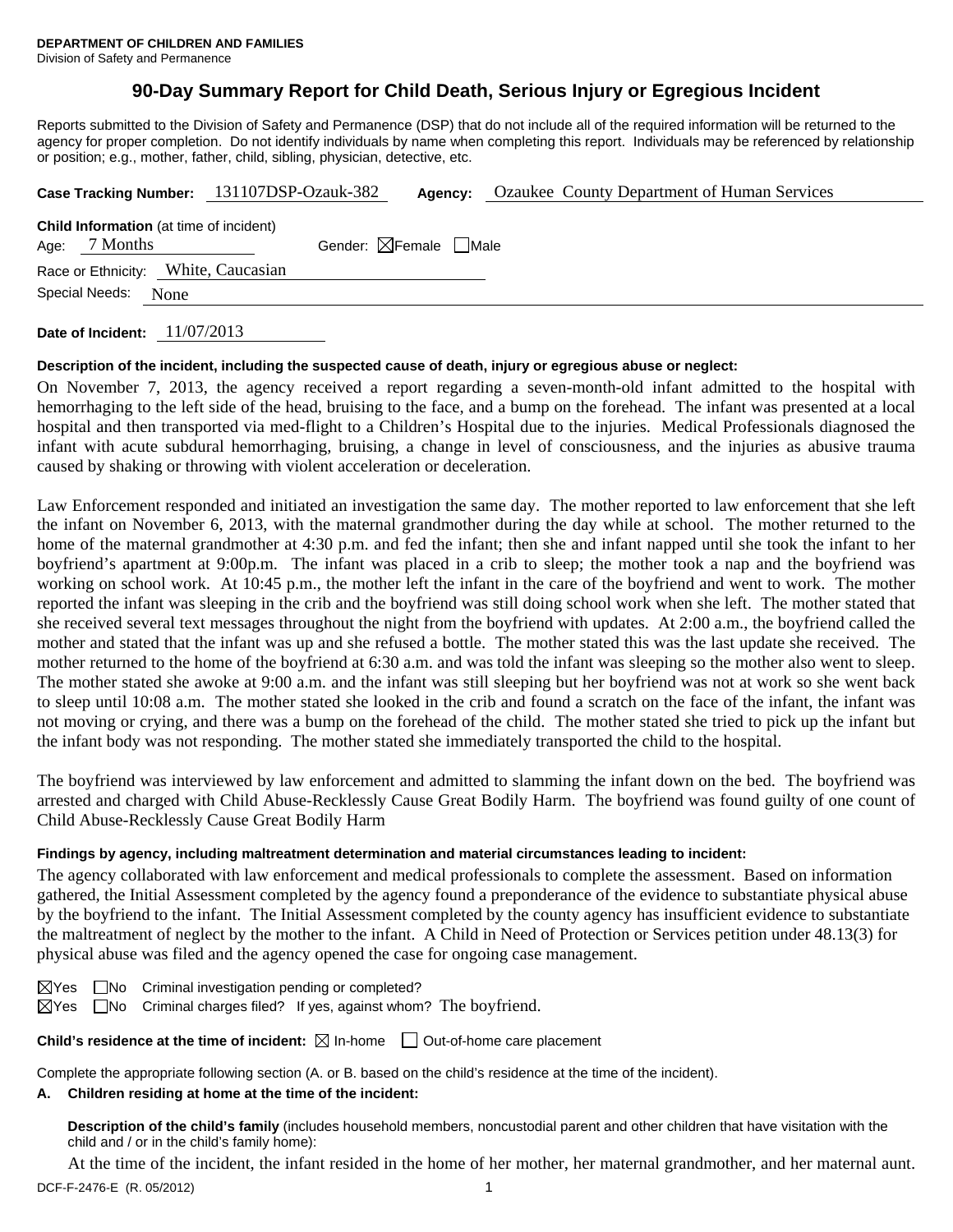## **90-Day Summary Report for Child Death, Serious Injury or Egregious Incident**

Reports submitted to the Division of Safety and Permanence (DSP) that do not include all of the required information will be returned to the agency for proper completion. Do not identify individuals by name when completing this report. Individuals may be referenced by relationship or position; e.g., mother, father, child, sibling, physician, detective, etc.

|                                                                    | Case Tracking Number: 131107DSP-Ozauk-382 | Agency: | Ozaukee County Department of Human Services |
|--------------------------------------------------------------------|-------------------------------------------|---------|---------------------------------------------|
| <b>Child Information</b> (at time of incident)<br>7 Months<br>Age: | Gender: $\boxtimes$ Female $\Box$ Male    |         |                                             |
| Race or Ethnicity: White, Caucasian                                |                                           |         |                                             |
| Special Needs:<br>None                                             |                                           |         |                                             |
|                                                                    |                                           |         |                                             |

**Date of Incident:** 11/07/2013

### **Description of the incident, including the suspected cause of death, injury or egregious abuse or neglect:**

On November 7, 2013, the agency received a report regarding a seven-month-old infant admitted to the hospital with hemorrhaging to the left side of the head, bruising to the face, and a bump on the forehead. The infant was presented at a local hospital and then transported via med-flight to a Children's Hospital due to the injuries. Medical Professionals diagnosed the infant with acute subdural hemorrhaging, bruising, a change in level of consciousness, and the injuries as abusive trauma caused by shaking or throwing with violent acceleration or deceleration.

Law Enforcement responded and initiated an investigation the same day. The mother reported to law enforcement that she left the infant on November 6, 2013, with the maternal grandmother during the day while at school. The mother returned to the home of the maternal grandmother at 4:30 p.m. and fed the infant; then she and infant napped until she took the infant to her boyfriend's apartment at 9:00p.m. The infant was placed in a crib to sleep; the mother took a nap and the boyfriend was working on school work. At 10:45 p.m., the mother left the infant in the care of the boyfriend and went to work. The mother reported the infant was sleeping in the crib and the boyfriend was still doing school work when she left. The mother stated that she received several text messages throughout the night from the boyfriend with updates. At 2:00 a.m., the boyfriend called the mother and stated that the infant was up and she refused a bottle. The mother stated this was the last update she received. The mother returned to the home of the boyfriend at 6:30 a.m. and was told the infant was sleeping so the mother also went to sleep. The mother stated she awoke at 9:00 a.m. and the infant was still sleeping but her boyfriend was not at work so she went back to sleep until 10:08 a.m. The mother stated she looked in the crib and found a scratch on the face of the infant, the infant was not moving or crying, and there was a bump on the forehead of the child. The mother stated she tried to pick up the infant but the infant body was not responding. The mother stated she immediately transported the child to the hospital.

The boyfriend was interviewed by law enforcement and admitted to slamming the infant down on the bed. The boyfriend was arrested and charged with Child Abuse-Recklessly Cause Great Bodily Harm. The boyfriend was found guilty of one count of Child Abuse-Recklessly Cause Great Bodily Harm

### **Findings by agency, including maltreatment determination and material circumstances leading to incident:**

The agency collaborated with law enforcement and medical professionals to complete the assessment. Based on information gathered, the Initial Assessment completed by the agency found a preponderance of the evidence to substantiate physical abuse by the boyfriend to the infant. The Initial Assessment completed by the county agency has insufficient evidence to substantiate the maltreatment of neglect by the mother to the infant. A Child in Need of Protection or Services petition under 48.13(3) for physical abuse was filed and the agency opened the case for ongoing case management.

|  | $\boxtimes$ Yes $\Box$ No Criminal investigation pending or completed?                 |  |  |
|--|----------------------------------------------------------------------------------------|--|--|
|  | $\boxtimes$ Yes $\Box$ No Criminal charges filed? If yes, against whom? The boyfriend. |  |  |

**Child's residence at the time of incident:**  $\boxtimes$  In-home  $\Box$  Out-of-home care placement

Complete the appropriate following section (A. or B. based on the child's residence at the time of the incident).

## **A. Children residing at home at the time of the incident:**

**Description of the child's family** (includes household members, noncustodial parent and other children that have visitation with the child and / or in the child's family home):

At the time of the incident, the infant resided in the home of her mother, her maternal grandmother, and her maternal aunt.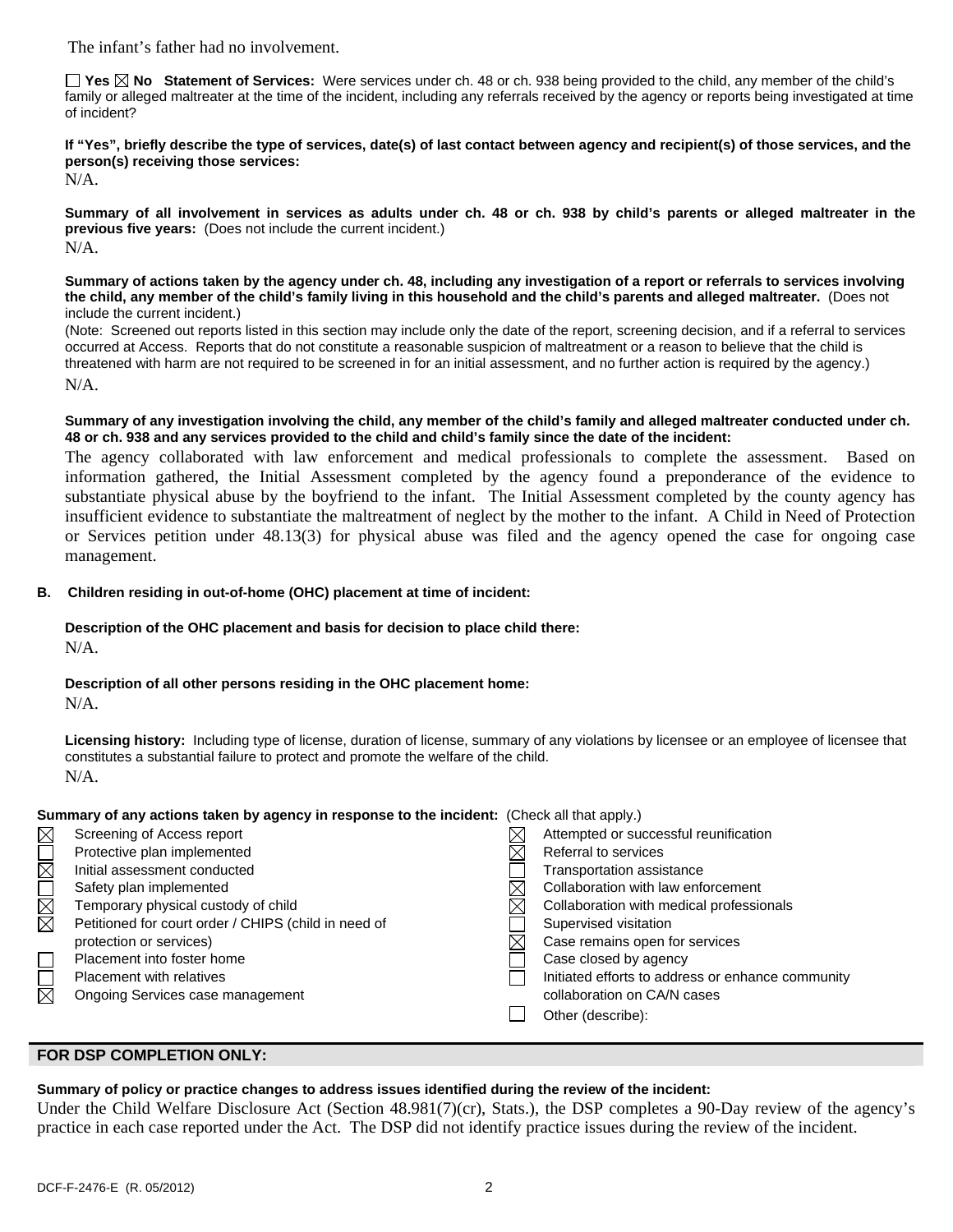The infant's father had no involvement.

**Yes No Statement of Services:** Were services under ch. 48 or ch. 938 being provided to the child, any member of the child's family or alleged maltreater at the time of the incident, including any referrals received by the agency or reports being investigated at time of incident?

**If "Yes", briefly describe the type of services, date(s) of last contact between agency and recipient(s) of those services, and the person(s) receiving those services:** 

N/A.

**Summary of all involvement in services as adults under ch. 48 or ch. 938 by child's parents or alleged maltreater in the previous five years:** (Does not include the current incident.) N/A.

**Summary of actions taken by the agency under ch. 48, including any investigation of a report or referrals to services involving the child, any member of the child's family living in this household and the child's parents and alleged maltreater.** (Does not include the current incident.)

(Note: Screened out reports listed in this section may include only the date of the report, screening decision, and if a referral to services occurred at Access. Reports that do not constitute a reasonable suspicion of maltreatment or a reason to believe that the child is threatened with harm are not required to be screened in for an initial assessment, and no further action is required by the agency.) N/A.

**Summary of any investigation involving the child, any member of the child's family and alleged maltreater conducted under ch. 48 or ch. 938 and any services provided to the child and child's family since the date of the incident:** 

The agency collaborated with law enforcement and medical professionals to complete the assessment. Based on information gathered, the Initial Assessment completed by the agency found a preponderance of the evidence to substantiate physical abuse by the boyfriend to the infant. The Initial Assessment completed by the county agency has insufficient evidence to substantiate the maltreatment of neglect by the mother to the infant. A Child in Need of Protection or Services petition under 48.13(3) for physical abuse was filed and the agency opened the case for ongoing case management.

## **B. Children residing in out-of-home (OHC) placement at time of incident:**

# **Description of the OHC placement and basis for decision to place child there:**

N/A.

## **Description of all other persons residing in the OHC placement home:**

N/A.

**Licensing history:** Including type of license, duration of license, summary of any violations by licensee or an employee of licensee that constitutes a substantial failure to protect and promote the welfare of the child. N/A.

### **Summary of any actions taken by agency in response to the incident:** (Check all that apply.)

| $\boxtimes$              | Screening of Access report                           | Attempted or successful reunification             |
|--------------------------|------------------------------------------------------|---------------------------------------------------|
| $\overline{\phantom{a}}$ | Protective plan implemented                          | Referral to services                              |
| $\boxtimes$              | Initial assessment conducted                         | Transportation assistance                         |
|                          | Safety plan implemented                              | Collaboration with law enforcement                |
| <b>NN</b>                | Temporary physical custody of child                  | Collaboration with medical professionals          |
|                          | Petitioned for court order / CHIPS (child in need of | Supervised visitation                             |
|                          | protection or services)                              | Case remains open for services                    |
|                          | Placement into foster home                           | Case closed by agency                             |
|                          | <b>Placement with relatives</b>                      | Initiated efforts to address or enhance community |
| $\boxtimes$              | Ongoing Services case management                     | collaboration on CA/N cases                       |
|                          |                                                      | Other (describe):                                 |
|                          |                                                      |                                                   |

## **FOR DSP COMPLETION ONLY:**

# **Summary of policy or practice changes to address issues identified during the review of the incident:**

Under the Child Welfare Disclosure Act (Section 48.981(7)(cr), Stats.), the DSP completes a 90-Day review of the agency's practice in each case reported under the Act. The DSP did not identify practice issues during the review of the incident.